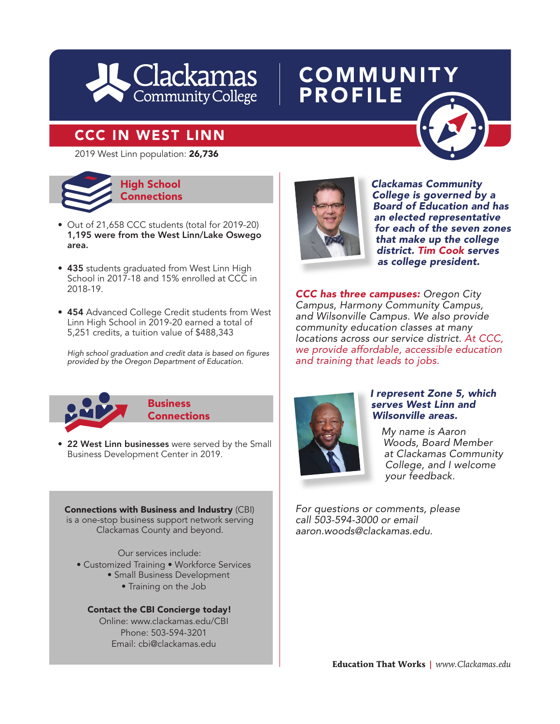

## **COMMUNITY** PROFILE

## CCC IN WEST LINN



- Out of 21,658 CCC students (total for 2019-20) 1,195 were from the West Linn/Lake Oswego area.
- 435 students graduated from West Linn High School in 2017-18 and 15% enrolled at CCC in 2018-19.
- 454 Advanced College Credit students from West Linn High School in 2019-20 earned a total of 5,251 credits, a tuition value of \$488,343

High school graduation and credit data is based on figures *provided by the Oregon Department of Education.*



*Clackamas Community College is governed by a Board of Education and has an elected representative for each of the seven zones that make up the college district. Tim Cook serves as college president.*  **has a community**<br> **has School**<br> **has School**<br> **has Connections**<br> **has School**<br> **has School**<br> **has School**<br> **has School**<br> **has School**<br> **has School**<br> **has School**<br> **has Board of Education and has** 

> *CCC has three campuses: Oregon City Campus, Harmony Community Campus, and Wilsonville Campus. We also provide community education classes at many locations across our service district. At CCC, we provide affordable, accessible education and training that leads to jobs.*



**Business Connections** 

• 22 West Linn businesses were served by the Small Business Development Center in 2019.

Connections with Business and Industry (CBI) is a one-stop business support network serving Clackamas County and beyond.

Our services include:

- Customized Training Workforce Services
	- Small Business Development
		- Training on the Job

Contact the CBI Concierge today! Online: www.clackamas.edu/CBI Phone: 503-594-3201 Email: cbi@clackamas.edu



#### *I represent Zone 5, which serves West Linn and Wilsonville areas.*

*My name is Aaron Woods, Board Member at Clackamas Community College, and I welcome your feedback.*

*For questions or comments, please call 503-594-3000 or email aaron.woods@clackamas.edu.*

**Education That Works** *| www.Clackamas.edu*